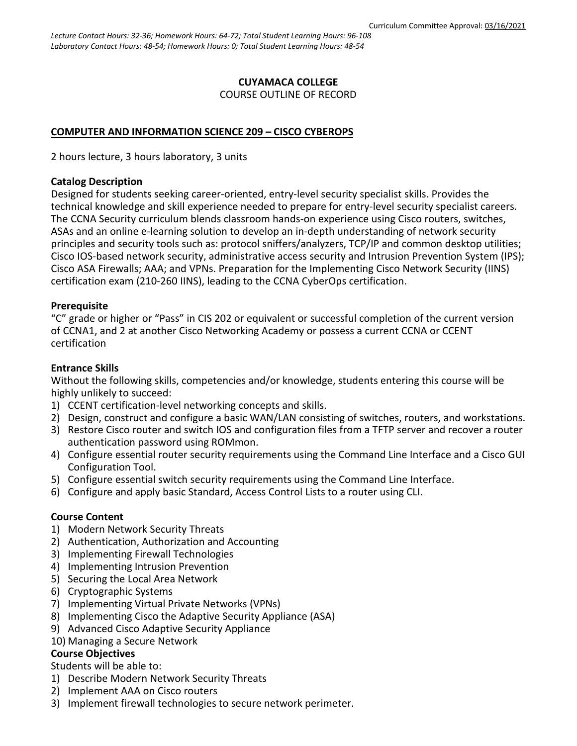### **CUYAMACA COLLEGE** COURSE OUTLINE OF RECORD

### **COMPUTER AND INFORMATION SCIENCE 209 – CISCO CYBEROPS**

2 hours lecture, 3 hours laboratory, 3 units

#### **Catalog Description**

Designed for students seeking career-oriented, entry-level security specialist skills. Provides the technical knowledge and skill experience needed to prepare for entry-level security specialist careers. The CCNA Security curriculum blends classroom hands-on experience using Cisco routers, switches, ASAs and an online e-learning solution to develop an in-depth understanding of network security principles and security tools such as: protocol sniffers/analyzers, TCP/IP and common desktop utilities; Cisco IOS-based network security, administrative access security and Intrusion Prevention System (IPS); Cisco ASA Firewalls; AAA; and VPNs. Preparation for the Implementing Cisco Network Security (IINS) certification exam (210-260 IINS), leading to the CCNA CyberOps certification.

### **Prerequisite**

"C" grade or higher or "Pass" in CIS 202 or equivalent or successful completion of the current version of CCNA1, and 2 at another Cisco Networking Academy or possess a current CCNA or CCENT certification

### **Entrance Skills**

Without the following skills, competencies and/or knowledge, students entering this course will be highly unlikely to succeed:

- 1) CCENT certification-level networking concepts and skills.
- 2) Design, construct and configure a basic WAN/LAN consisting of switches, routers, and workstations.
- 3) Restore Cisco router and switch IOS and configuration files from a TFTP server and recover a router authentication password using ROMmon.
- 4) Configure essential router security requirements using the Command Line Interface and a Cisco GUI Configuration Tool.
- 5) Configure essential switch security requirements using the Command Line Interface.
- 6) Configure and apply basic Standard, Access Control Lists to a router using CLI.

### **Course Content**

- 1) Modern Network Security Threats
- 2) Authentication, Authorization and Accounting
- 3) Implementing Firewall Technologies
- 4) Implementing Intrusion Prevention
- 5) Securing the Local Area Network
- 6) Cryptographic Systems
- 7) Implementing Virtual Private Networks (VPNs)
- 8) Implementing Cisco the Adaptive Security Appliance (ASA)
- 9) Advanced Cisco Adaptive Security Appliance
- 10) Managing a Secure Network

### **Course Objectives**

Students will be able to:

- 1) Describe Modern Network Security Threats
- 2) Implement AAA on Cisco routers
- 3) Implement firewall technologies to secure network perimeter.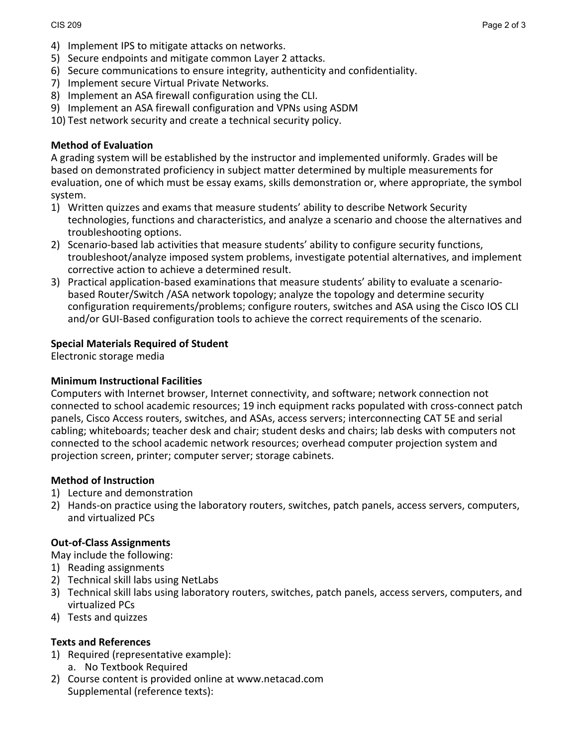- 5) Secure endpoints and mitigate common Layer 2 attacks.
- 6) Secure communications to ensure integrity, authenticity and confidentiality.
- 7) Implement secure Virtual Private Networks.
- 8) Implement an ASA firewall configuration using the CLI.
- 9) Implement an ASA firewall configuration and VPNs using ASDM

10) Test network security and create a technical security policy.

# **Method of Evaluation**

A grading system will be established by the instructor and implemented uniformly. Grades will be based on demonstrated proficiency in subject matter determined by multiple measurements for evaluation, one of which must be essay exams, skills demonstration or, where appropriate, the symbol system.

- 1) Written quizzes and exams that measure students' ability to describe Network Security technologies, functions and characteristics, and analyze a scenario and choose the alternatives and troubleshooting options.
- 2) Scenario-based lab activities that measure students' ability to configure security functions, troubleshoot/analyze imposed system problems, investigate potential alternatives, and implement corrective action to achieve a determined result.
- 3) Practical application-based examinations that measure students' ability to evaluate a scenariobased Router/Switch /ASA network topology; analyze the topology and determine security configuration requirements/problems; configure routers, switches and ASA using the Cisco IOS CLI and/or GUI-Based configuration tools to achieve the correct requirements of the scenario.

# **Special Materials Required of Student**

Electronic storage media

# **Minimum Instructional Facilities**

Computers with Internet browser, Internet connectivity, and software; network connection not connected to school academic resources; 19 inch equipment racks populated with cross-connect patch panels, Cisco Access routers, switches, and ASAs, access servers; interconnecting CAT 5E and serial cabling; whiteboards; teacher desk and chair; student desks and chairs; lab desks with computers not connected to the school academic network resources; overhead computer projection system and projection screen, printer; computer server; storage cabinets.

# **Method of Instruction**

- 1) Lecture and demonstration
- 2) Hands-on practice using the laboratory routers, switches, patch panels, access servers, computers, and virtualized PCs

# **Out-of-Class Assignments**

May include the following:

- 1) Reading assignments
- 2) Technical skill labs using NetLabs
- 3) Technical skill labs using laboratory routers, switches, patch panels, access servers, computers, and virtualized PCs
- 4) Tests and quizzes

# **Texts and References**

- 1) Required (representative example):
	- a. No Textbook Required
- 2) Course content is provided online at www.netacad.com Supplemental (reference texts):